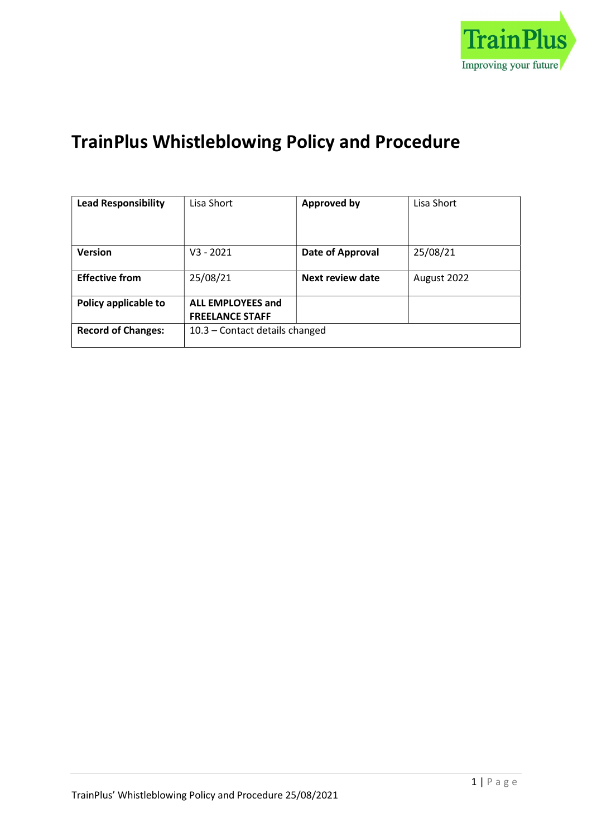

# TrainPlus Whistleblowing Policy and Procedure

| <b>Lead Responsibility</b> | Lisa Short                                         | <b>Approved by</b> | Lisa Short  |
|----------------------------|----------------------------------------------------|--------------------|-------------|
|                            |                                                    |                    |             |
| <b>Version</b>             | $V3 - 2021$                                        | Date of Approval   | 25/08/21    |
| <b>Effective from</b>      | 25/08/21                                           | Next review date   | August 2022 |
| Policy applicable to       | <b>ALL EMPLOYEES and</b><br><b>FREELANCE STAFF</b> |                    |             |
| <b>Record of Changes:</b>  | 10.3 - Contact details changed                     |                    |             |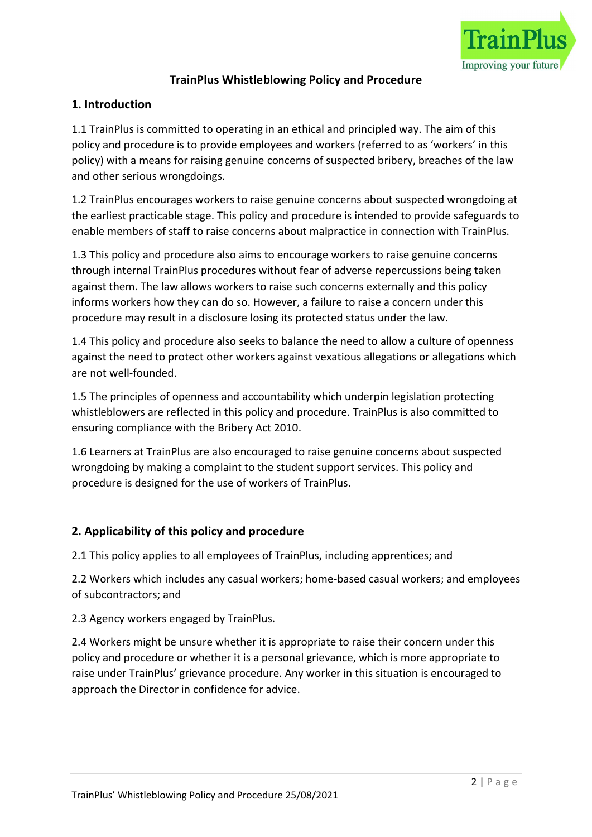

## TrainPlus Whistleblowing Policy and Procedure

#### 1. Introduction

1.1 TrainPlus is committed to operating in an ethical and principled way. The aim of this policy and procedure is to provide employees and workers (referred to as 'workers' in this policy) with a means for raising genuine concerns of suspected bribery, breaches of the law and other serious wrongdoings.

1.2 TrainPlus encourages workers to raise genuine concerns about suspected wrongdoing at the earliest practicable stage. This policy and procedure is intended to provide safeguards to enable members of staff to raise concerns about malpractice in connection with TrainPlus.

1.3 This policy and procedure also aims to encourage workers to raise genuine concerns through internal TrainPlus procedures without fear of adverse repercussions being taken against them. The law allows workers to raise such concerns externally and this policy informs workers how they can do so. However, a failure to raise a concern under this procedure may result in a disclosure losing its protected status under the law.

1.4 This policy and procedure also seeks to balance the need to allow a culture of openness against the need to protect other workers against vexatious allegations or allegations which are not well-founded.

1.5 The principles of openness and accountability which underpin legislation protecting whistleblowers are reflected in this policy and procedure. TrainPlus is also committed to ensuring compliance with the Bribery Act 2010.

1.6 Learners at TrainPlus are also encouraged to raise genuine concerns about suspected wrongdoing by making a complaint to the student support services. This policy and procedure is designed for the use of workers of TrainPlus.

#### 2. Applicability of this policy and procedure

2.1 This policy applies to all employees of TrainPlus, including apprentices; and

2.2 Workers which includes any casual workers; home-based casual workers; and employees of subcontractors; and

2.3 Agency workers engaged by TrainPlus.

2.4 Workers might be unsure whether it is appropriate to raise their concern under this policy and procedure or whether it is a personal grievance, which is more appropriate to raise under TrainPlus' grievance procedure. Any worker in this situation is encouraged to approach the Director in confidence for advice.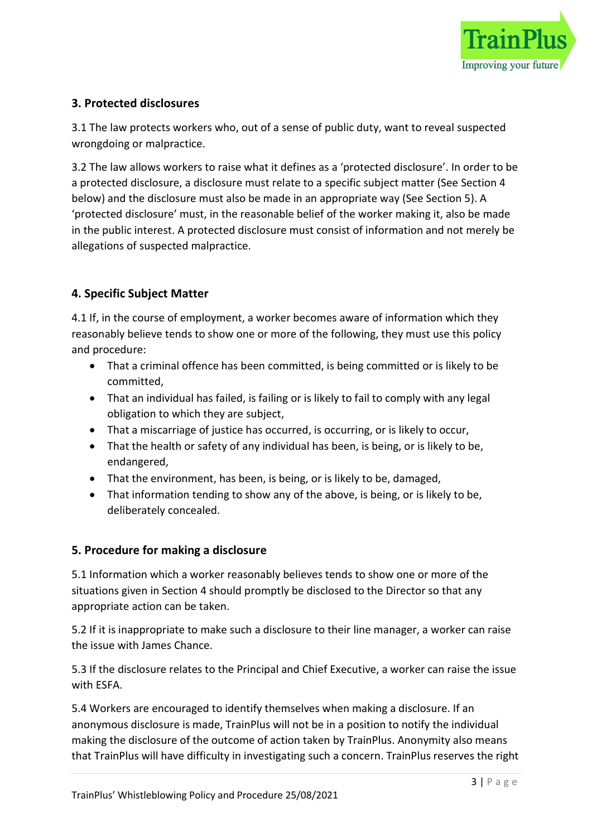

## 3. Protected disclosures

3.1 The law protects workers who, out of a sense of public duty, want to reveal suspected wrongdoing or malpractice.

3.2 The law allows workers to raise what it defines as a 'protected disclosure'. In order to be a protected disclosure, a disclosure must relate to a specific subject matter (See Section 4 below) and the disclosure must also be made in an appropriate way (See Section 5). A 'protected disclosure' must, in the reasonable belief of the worker making it, also be made in the public interest. A protected disclosure must consist of information and not merely be allegations of suspected malpractice.

# 4. Specific Subject Matter

4.1 If, in the course of employment, a worker becomes aware of information which they reasonably believe tends to show one or more of the following, they must use this policy and procedure:

- That a criminal offence has been committed, is being committed or is likely to be committed,
- That an individual has failed, is failing or is likely to fail to comply with any legal obligation to which they are subject,
- That a miscarriage of justice has occurred, is occurring, or is likely to occur,
- That the health or safety of any individual has been, is being, or is likely to be, endangered,
- That the environment, has been, is being, or is likely to be, damaged,
- That information tending to show any of the above, is being, or is likely to be, deliberately concealed.

#### 5. Procedure for making a disclosure

5.1 Information which a worker reasonably believes tends to show one or more of the situations given in Section 4 should promptly be disclosed to the Director so that any appropriate action can be taken.

5.2 If it is inappropriate to make such a disclosure to their line manager, a worker can raise the issue with James Chance.

5.3 If the disclosure relates to the Principal and Chief Executive, a worker can raise the issue with ESFA.

5.4 Workers are encouraged to identify themselves when making a disclosure. If an anonymous disclosure is made, TrainPlus will not be in a position to notify the individual making the disclosure of the outcome of action taken by TrainPlus. Anonymity also means that TrainPlus will have difficulty in investigating such a concern. TrainPlus reserves the right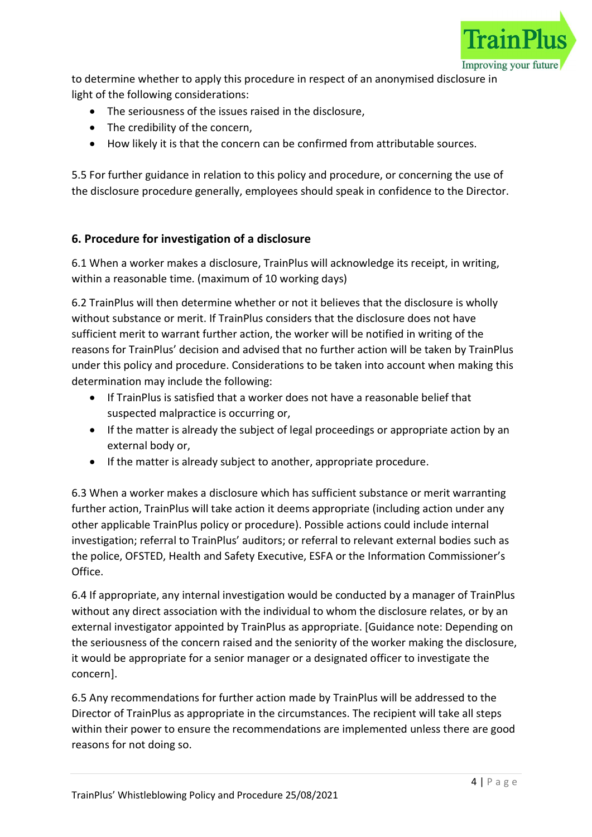

to determine whether to apply this procedure in respect of an anonymised disclosure in light of the following considerations:

- The seriousness of the issues raised in the disclosure,
- The credibility of the concern.
- How likely it is that the concern can be confirmed from attributable sources.

5.5 For further guidance in relation to this policy and procedure, or concerning the use of the disclosure procedure generally, employees should speak in confidence to the Director.

## 6. Procedure for investigation of a disclosure

6.1 When a worker makes a disclosure, TrainPlus will acknowledge its receipt, in writing, within a reasonable time. (maximum of 10 working days)

6.2 TrainPlus will then determine whether or not it believes that the disclosure is wholly without substance or merit. If TrainPlus considers that the disclosure does not have sufficient merit to warrant further action, the worker will be notified in writing of the reasons for TrainPlus' decision and advised that no further action will be taken by TrainPlus under this policy and procedure. Considerations to be taken into account when making this determination may include the following:

- If TrainPlus is satisfied that a worker does not have a reasonable belief that suspected malpractice is occurring or,
- If the matter is already the subject of legal proceedings or appropriate action by an external body or,
- If the matter is already subject to another, appropriate procedure.

6.3 When a worker makes a disclosure which has sufficient substance or merit warranting further action, TrainPlus will take action it deems appropriate (including action under any other applicable TrainPlus policy or procedure). Possible actions could include internal investigation; referral to TrainPlus' auditors; or referral to relevant external bodies such as the police, OFSTED, Health and Safety Executive, ESFA or the Information Commissioner's Office.

6.4 If appropriate, any internal investigation would be conducted by a manager of TrainPlus without any direct association with the individual to whom the disclosure relates, or by an external investigator appointed by TrainPlus as appropriate. [Guidance note: Depending on the seriousness of the concern raised and the seniority of the worker making the disclosure, it would be appropriate for a senior manager or a designated officer to investigate the concern].

6.5 Any recommendations for further action made by TrainPlus will be addressed to the Director of TrainPlus as appropriate in the circumstances. The recipient will take all steps within their power to ensure the recommendations are implemented unless there are good reasons for not doing so.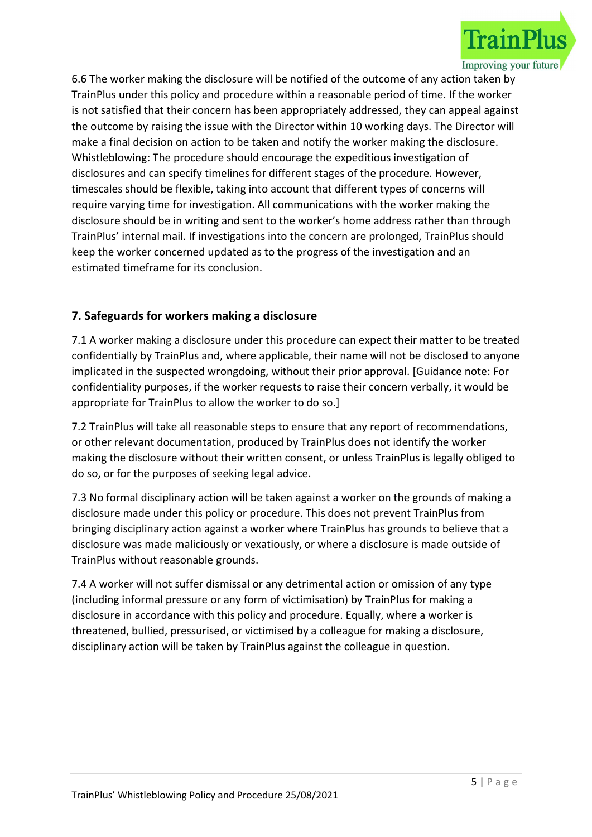

6.6 The worker making the disclosure will be notified of the outcome of any action taken by TrainPlus under this policy and procedure within a reasonable period of time. If the worker is not satisfied that their concern has been appropriately addressed, they can appeal against the outcome by raising the issue with the Director within 10 working days. The Director will make a final decision on action to be taken and notify the worker making the disclosure. Whistleblowing: The procedure should encourage the expeditious investigation of disclosures and can specify timelines for different stages of the procedure. However, timescales should be flexible, taking into account that different types of concerns will require varying time for investigation. All communications with the worker making the disclosure should be in writing and sent to the worker's home address rather than through TrainPlus' internal mail. If investigations into the concern are prolonged, TrainPlus should keep the worker concerned updated as to the progress of the investigation and an estimated timeframe for its conclusion.

# 7. Safeguards for workers making a disclosure

7.1 A worker making a disclosure under this procedure can expect their matter to be treated confidentially by TrainPlus and, where applicable, their name will not be disclosed to anyone implicated in the suspected wrongdoing, without their prior approval. [Guidance note: For confidentiality purposes, if the worker requests to raise their concern verbally, it would be appropriate for TrainPlus to allow the worker to do so.]

7.2 TrainPlus will take all reasonable steps to ensure that any report of recommendations, or other relevant documentation, produced by TrainPlus does not identify the worker making the disclosure without their written consent, or unless TrainPlus is legally obliged to do so, or for the purposes of seeking legal advice.

7.3 No formal disciplinary action will be taken against a worker on the grounds of making a disclosure made under this policy or procedure. This does not prevent TrainPlus from bringing disciplinary action against a worker where TrainPlus has grounds to believe that a disclosure was made maliciously or vexatiously, or where a disclosure is made outside of TrainPlus without reasonable grounds.

7.4 A worker will not suffer dismissal or any detrimental action or omission of any type (including informal pressure or any form of victimisation) by TrainPlus for making a disclosure in accordance with this policy and procedure. Equally, where a worker is threatened, bullied, pressurised, or victimised by a colleague for making a disclosure, disciplinary action will be taken by TrainPlus against the colleague in question.